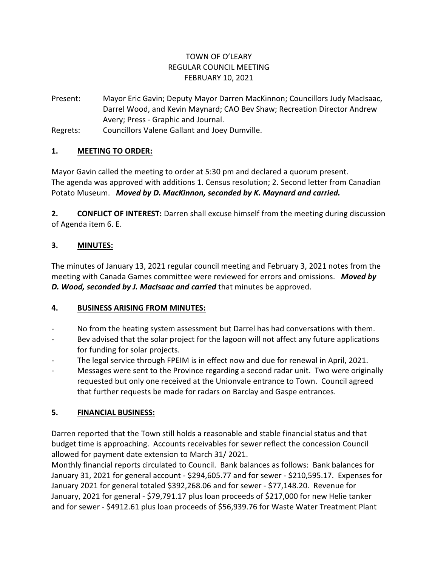## TOWN OF O'LEARY REGULAR COUNCIL MEETING FEBRUARY 10, 2021

Present: Mayor Eric Gavin; Deputy Mayor Darren MacKinnon; Councillors Judy MacIsaac, Darrel Wood, and Kevin Maynard; CAO Bev Shaw; Recreation Director Andrew Avery; Press - Graphic and Journal.

Regrets: Councillors Valene Gallant and Joey Dumville.

## **1. MEETING TO ORDER:**

Mayor Gavin called the meeting to order at 5:30 pm and declared a quorum present. The agenda was approved with additions 1. Census resolution; 2. Second letter from Canadian Potato Museum. *Moved by D. MacKinnon, seconded by K. Maynard and carried.*

**2. CONFLICT OF INTEREST:** Darren shall excuse himself from the meeting during discussion of Agenda item 6. E.

## **3. MINUTES:**

The minutes of January 13, 2021 regular council meeting and February 3, 2021 notes from the meeting with Canada Games committee were reviewed for errors and omissions. *Moved by D. Wood, seconded by J. MacIsaac and carried* that minutes be approved.

## **4. BUSINESS ARISING FROM MINUTES:**

- No from the heating system assessment but Darrel has had conversations with them.
- Bev advised that the solar project for the lagoon will not affect any future applications for funding for solar projects.
- The legal service through FPEIM is in effect now and due for renewal in April, 2021.
- Messages were sent to the Province regarding a second radar unit. Two were originally requested but only one received at the Unionvale entrance to Town. Council agreed that further requests be made for radars on Barclay and Gaspe entrances.

# **5. FINANCIAL BUSINESS:**

Darren reported that the Town still holds a reasonable and stable financial status and that budget time is approaching. Accounts receivables for sewer reflect the concession Council allowed for payment date extension to March 31/ 2021.

Monthly financial reports circulated to Council. Bank balances as follows: Bank balances for January 31, 2021 for general account - \$294,605.77 and for sewer - \$210,595.17. Expenses for January 2021 for general totaled \$392,268.06 and for sewer - \$77,148.20. Revenue for January, 2021 for general - \$79,791.17 plus loan proceeds of \$217,000 for new Helie tanker and for sewer - \$4912.61 plus loan proceeds of \$56,939.76 for Waste Water Treatment Plant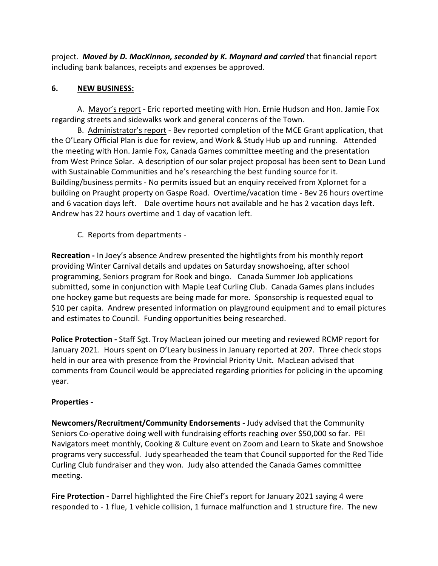project. *Moved by D. MacKinnon, seconded by K. Maynard and carried* that financial report including bank balances, receipts and expenses be approved.

## **6. NEW BUSINESS:**

A. Mayor's report - Eric reported meeting with Hon. Ernie Hudson and Hon. Jamie Fox regarding streets and sidewalks work and general concerns of the Town.

B. Administrator's report - Bev reported completion of the MCE Grant application, that the O'Leary Official Plan is due for review, and Work & Study Hub up and running. Attended the meeting with Hon. Jamie Fox, Canada Games committee meeting and the presentation from West Prince Solar. A description of our solar project proposal has been sent to Dean Lund with Sustainable Communities and he's researching the best funding source for it. Building/business permits - No permits issued but an enquiry received from Xplornet for a building on Praught property on Gaspe Road. Overtime/vacation time - Bev 26 hours overtime and 6 vacation days left. Dale overtime hours not available and he has 2 vacation days left. Andrew has 22 hours overtime and 1 day of vacation left.

## C. Reports from departments -

**Recreation -** In Joey's absence Andrew presented the hightlights from his monthly report providing Winter Carnival details and updates on Saturday snowshoeing, after school programming, Seniors program for Rook and bingo. Canada Summer Job applications submitted, some in conjunction with Maple Leaf Curling Club. Canada Games plans includes one hockey game but requests are being made for more. Sponsorship is requested equal to \$10 per capita. Andrew presented information on playground equipment and to email pictures and estimates to Council. Funding opportunities being researched.

**Police Protection -** Staff Sgt. Troy MacLean joined our meeting and reviewed RCMP report for January 2021. Hours spent on O'Leary business in January reported at 207. Three check stops held in our area with presence from the Provincial Priority Unit. MacLean advised that comments from Council would be appreciated regarding priorities for policing in the upcoming year.

### **Properties -**

**Newcomers/Recruitment/Community Endorsements** - Judy advised that the Community Seniors Co-operative doing well with fundraising efforts reaching over \$50,000 so far. PEI Navigators meet monthly, Cooking & Culture event on Zoom and Learn to Skate and Snowshoe programs very successful. Judy spearheaded the team that Council supported for the Red Tide Curling Club fundraiser and they won. Judy also attended the Canada Games committee meeting.

**Fire Protection -** Darrel highlighted the Fire Chief's report for January 2021 saying 4 were responded to - 1 flue, 1 vehicle collision, 1 furnace malfunction and 1 structure fire. The new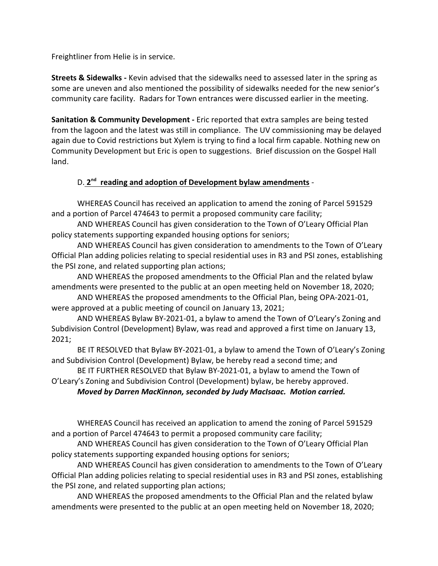Freightliner from Helie is in service.

**Streets & Sidewalks -** Kevin advised that the sidewalks need to assessed later in the spring as some are uneven and also mentioned the possibility of sidewalks needed for the new senior's community care facility. Radars for Town entrances were discussed earlier in the meeting.

**Sanitation & Community Development -** Eric reported that extra samples are being tested from the lagoon and the latest was still in compliance. The UV commissioning may be delayed again due to Covid restrictions but Xylem is trying to find a local firm capable. Nothing new on Community Development but Eric is open to suggestions. Brief discussion on the Gospel Hall land.

## D. 2<sup>nd</sup> reading and adoption of Development bylaw amendments -

WHEREAS Council has received an application to amend the zoning of Parcel 591529 and a portion of Parcel 474643 to permit a proposed community care facility;

AND WHEREAS Council has given consideration to the Town of O'Leary Official Plan policy statements supporting expanded housing options for seniors;

AND WHEREAS Council has given consideration to amendments to the Town of O'Leary Official Plan adding policies relating to special residential uses in R3 and PSI zones, establishing the PSI zone, and related supporting plan actions;

AND WHEREAS the proposed amendments to the Official Plan and the related bylaw amendments were presented to the public at an open meeting held on November 18, 2020;

AND WHEREAS the proposed amendments to the Official Plan, being OPA-2021-01, were approved at a public meeting of council on January 13, 2021;

AND WHEREAS Bylaw BY-2021-01, a bylaw to amend the Town of O'Leary's Zoning and Subdivision Control (Development) Bylaw, was read and approved a first time on January 13, 2021;

BE IT RESOLVED that Bylaw BY-2021-01, a bylaw to amend the Town of O'Leary's Zoning and Subdivision Control (Development) Bylaw, be hereby read a second time; and

BE IT FURTHER RESOLVED that Bylaw BY-2021-01, a bylaw to amend the Town of O'Leary's Zoning and Subdivision Control (Development) bylaw, be hereby approved.

*Moved by Darren MacKinnon, seconded by Judy MacIsaac. Motion carried.*

WHEREAS Council has received an application to amend the zoning of Parcel 591529 and a portion of Parcel 474643 to permit a proposed community care facility;

AND WHEREAS Council has given consideration to the Town of O'Leary Official Plan policy statements supporting expanded housing options for seniors;

AND WHEREAS Council has given consideration to amendments to the Town of O'Leary Official Plan adding policies relating to special residential uses in R3 and PSI zones, establishing the PSI zone, and related supporting plan actions;

AND WHEREAS the proposed amendments to the Official Plan and the related bylaw amendments were presented to the public at an open meeting held on November 18, 2020;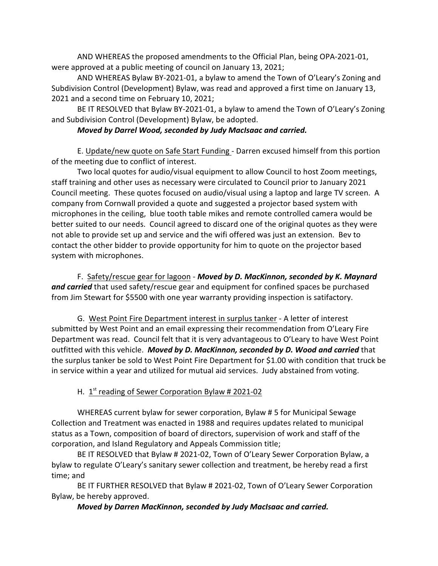AND WHEREAS the proposed amendments to the Official Plan, being OPA-2021-01, were approved at a public meeting of council on January 13, 2021;

AND WHEREAS Bylaw BY-2021-01, a bylaw to amend the Town of O'Leary's Zoning and Subdivision Control (Development) Bylaw, was read and approved a first time on January 13, 2021 and a second time on February 10, 2021;

BE IT RESOLVED that Bylaw BY-2021-01, a bylaw to amend the Town of O'Leary's Zoning and Subdivision Control (Development) Bylaw, be adopted.

### *Moved by Darrel Wood, seconded by Judy MacIsaac and carried.*

E. Update/new quote on Safe Start Funding - Darren excused himself from this portion of the meeting due to conflict of interest.

Two local quotes for audio/visual equipment to allow Council to host Zoom meetings, staff training and other uses as necessary were circulated to Council prior to January 2021 Council meeting. These quotes focused on audio/visual using a laptop and large TV screen. A company from Cornwall provided a quote and suggested a projector based system with microphones in the ceiling, blue tooth table mikes and remote controlled camera would be better suited to our needs. Council agreed to discard one of the original quotes as they were not able to provide set up and service and the wifi offered was just an extension. Bev to contact the other bidder to provide opportunity for him to quote on the projector based system with microphones.

F. Safety/rescue gear for lagoon - *Moved by D. MacKinnon, seconded by K. Maynard and carried* that used safety/rescue gear and equipment for confined spaces be purchased from Jim Stewart for \$5500 with one year warranty providing inspection is satifactory.

G. West Point Fire Department interest in surplus tanker - A letter of interest submitted by West Point and an email expressing their recommendation from O'Leary Fire Department was read. Council felt that it is very advantageous to O'Leary to have West Point outfitted with this vehicle. *Moved by D. MacKinnon, seconded by D. Wood and carried* that the surplus tanker be sold to West Point Fire Department for \$1.00 with condition that truck be in service within a year and utilized for mutual aid services. Judy abstained from voting.

## H. 1<sup>st</sup> reading of Sewer Corporation Bylaw # 2021-02

WHEREAS current bylaw for sewer corporation, Bylaw # 5 for Municipal Sewage Collection and Treatment was enacted in 1988 and requires updates related to municipal status as a Town, composition of board of directors, supervision of work and staff of the corporation, and Island Regulatory and Appeals Commission title;

BE IT RESOLVED that Bylaw # 2021-02, Town of O'Leary Sewer Corporation Bylaw, a bylaw to regulate O'Leary's sanitary sewer collection and treatment, be hereby read a first time; and

BE IT FURTHER RESOLVED that Bylaw # 2021-02, Town of O'Leary Sewer Corporation Bylaw, be hereby approved.

### *Moved by Darren MacKinnon, seconded by Judy MacIsaac and carried.*